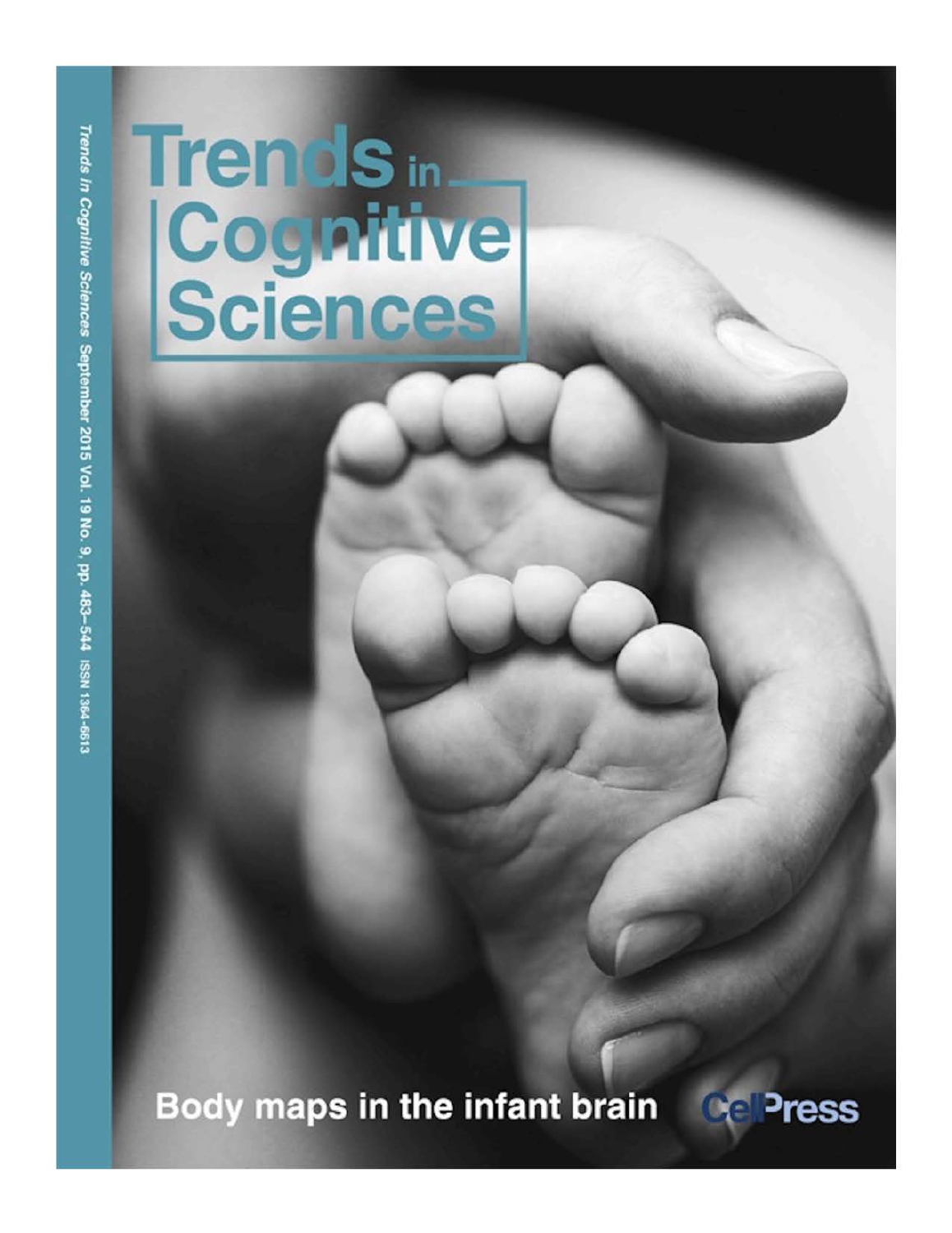# **Trends** in Cognitive<br>Sciences

Body maps in the infant brain

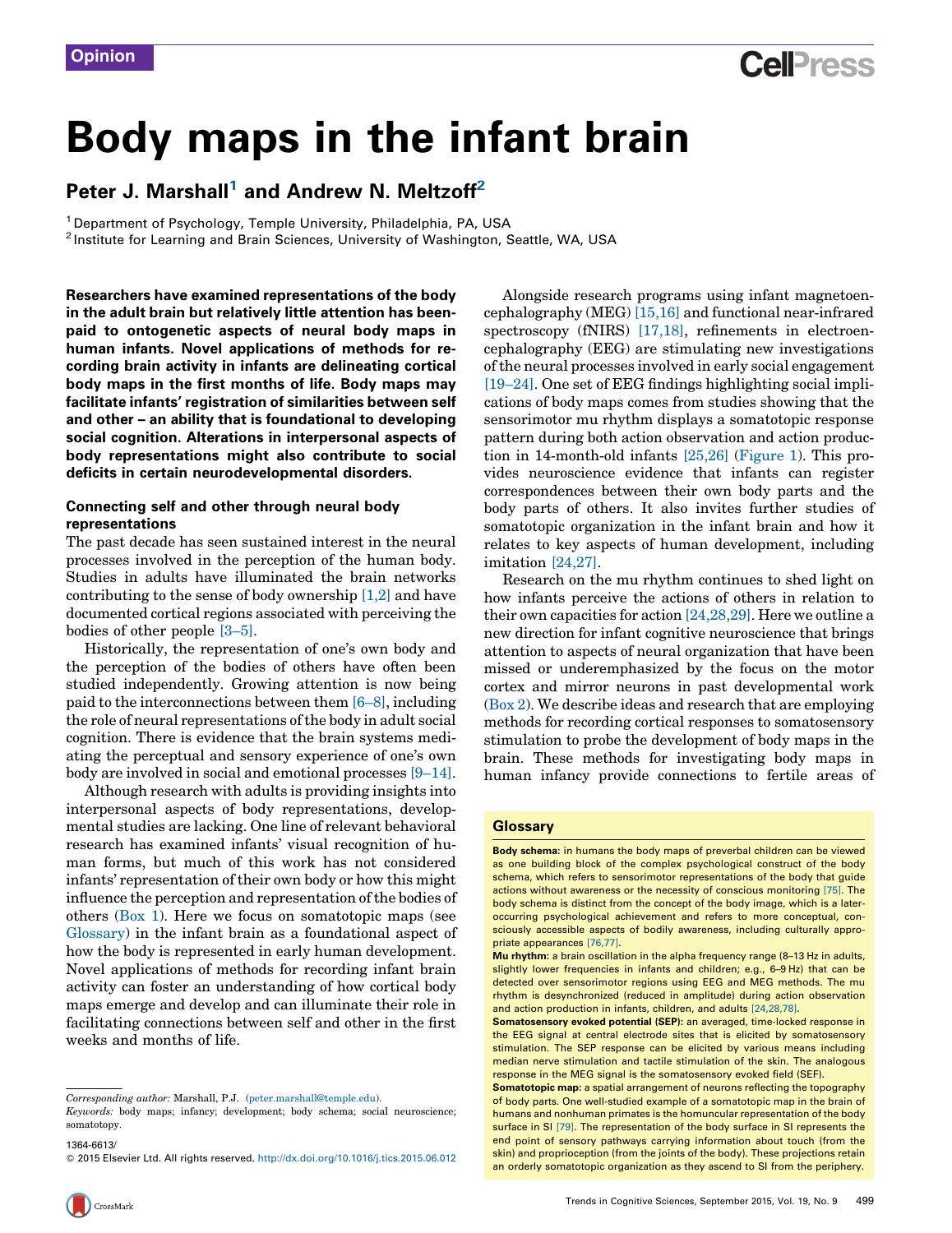# Body maps in the infant brain

Peter J. Marshall<sup>1</sup> and Andrew N. Meltzoff<sup>2</sup>

<sup>1</sup> Department of Psychology, Temple University, Philadelphia, PA, USA<br><sup>2</sup> Institute for Learning and Brain Sciences, University of Washington, Seattle, WA, USA

Researchers have examined representations of the body in the adult brain but relatively little attention has beenpaid to ontogenetic aspects of neural body maps in human infants. Novel applications of methods for recording brain activity in infants are delineating cortical body maps in the first months of life. Body maps may facilitate infants' registration of similarities between self and other – an ability that is foundational to developing social cognition. Alterations in interpersonal aspects of body representations might also contribute to social deficits in certain neurodevelopmental disorders.

# Connecting self and other through neural body representations

The past decade has seen sustained interest in the neural processes involved in the perception of the human body. Studies in adults have illuminated the brain networks contributing to the sense of body ownership  $[1,2]$  and have documented cortical regions associated with perceiving the bodies of other people [\[3–5\]](#page-5-0).

Historically, the representation of one's own body and the perception of the bodies of others have often been studied independently. Growing attention is now being paid to the interconnections between them [\[6–8\]](#page-5-0), including the role of neural representations of the body in adult social cognition. There is evidence that the brain systems mediating the perceptual and sensory experience of one's own body are involved in social and emotional processes [\[9–14\]](#page-5-0).

Although research with adults is providing insights into interpersonal aspects of body representations, developmental studies are lacking. One line of relevant behavioral research has examined infants' visual recognition of human forms, but much of this work has not considered infants' representation of their own body or how this might influence the perception and representation of the bodies of others ([Box](#page-2-0) 1). Here we focus on somatotopic maps (see Glossary) in the infant brain as a foundational aspect of how the body is represented in early human development. Novel applications of methods for recording infant brain activity can foster an understanding of how cortical body maps emerge and develop and can illuminate their role in facilitating connections between self and other in the first weeks and months of life.

1364-6613/

Alongside research programs using infant magnetoencephalography (MEG) [\[15,16\]](#page-5-0) and functional near-infrared spectroscopy (fNIRS) [\[17,18\]](#page-5-0), refinements in electroencephalography (EEG) are stimulating new investigations of the neural processes involved in early social engagement [\[19–24\].](#page-5-0) One set of EEG findings highlighting social implications of body maps comes from studies showing that the sensorimotor mu rhythm displays a somatotopic response pattern during both action observation and action production in 14-month-old infants [\[25,26\]](#page-5-0) ([Figure](#page-2-0) 1). This provides neuroscience evidence that infants can register correspondences between their own body parts and the body parts of others. It also invites further studies of somatotopic organization in the infant brain and how it relates to key aspects of human development, including imitation [\[24,27\]](#page-5-0).

Research on the mu rhythm continues to shed light on how infants perceive the actions of others in relation to their own capacities for action [\[24,28,29\]](#page-5-0). Here we outline a new direction for infant cognitive neuroscience that brings attention to aspects of neural organization that have been missed or underemphasized by the focus on the motor cortex and mirror neurons in past developmental work ([Box](#page-3-0) 2). We describe ideas and research that are employing methods for recording cortical responses to somatosensory stimulation to probe the development of body maps in the brain. These methods for investigating body maps in human infancy provide connections to fertile areas of

### **Glossary**

Body schema: in humans the body maps of preverbal children can be viewed as one building block of the complex psychological construct of the body schema, which refers to sensorimotor representations of the body that guide actions without awareness or the necessity of conscious monitoring [\[75\]](#page-6-0). The body schema is distinct from the concept of the body image, which is a lateroccurring psychological achievement and refers to more conceptual, consciously accessible aspects of bodily awareness, including culturally appropriate appearances [\[76,77\]](#page-6-0).

Corresponding author: Marshall, P.J. [\(peter.marshall@temple.edu\)](mailto:peter.marshall@temple.edu).

Keywords: body maps; infancy; development; body schema; social neuroscience; somatotopy.

<sup>!</sup> 2015 Elsevier Ltd. All rights reserved. <http://dx.doi.org/10.1016/j.tics.2015.06.012>

Mu rhythm: a brain oscillation in the alpha frequency range (8-13 Hz in adults, slightly lower frequencies in infants and children; e.g., 6–9 Hz) that can be detected over sensorimotor regions using EEG and MEG methods. The mu rhythm is desynchronized (reduced in amplitude) during action observation and action production in infants, children, and adults [\[24,28,78\].](#page-5-0)

Somatosensory evoked potential (SEP): an averaged, time-locked response in the EEG signal at central electrode sites that is elicited by somatosensory stimulation. The SEP response can be elicited by various means including median nerve stimulation and tactile stimulation of the skin. The analogous response in the MEG signal is the somatosensory evoked field (SEF).

Somatotopic map: a spatial arrangement of neurons reflecting the topography of body parts. One well-studied example of a somatotopic map in the brain of humans and nonhuman primates is the homuncular representation of the body surface in SI [\[79\]](#page-6-0). The representation of the body surface in SI represents the end point of sensory pathways carrying information about touch (from the skin) and proprioception (from the joints of the body). These projections retain an orderly somatotopic organization as they ascend to SI from the periphery.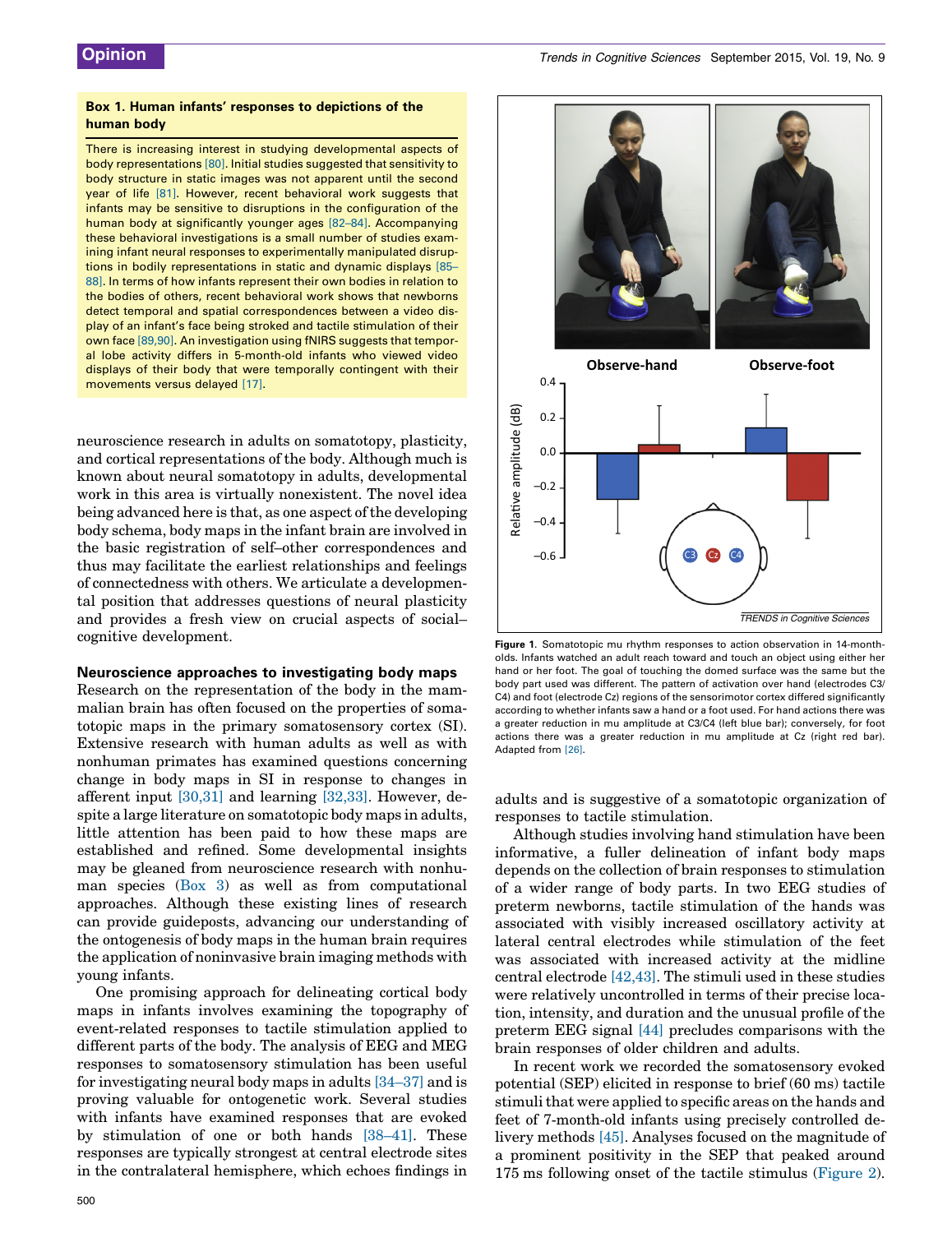## <span id="page-2-0"></span>Box 1. Human infants' responses to depictions of the human body

There is increasing interest in studying developmental aspects of body representations [\[80\].](#page-6-0) Initial studies suggested that sensitivity to body structure in static images was not apparent until the second year of life [\[81\]](#page-6-0). However, recent behavioral work suggests that infants may be sensitive to disruptions in the configuration of the human body at significantly younger ages [\[82–84\].](#page-6-0) Accompanying these behavioral investigations is a small number of studies examining infant neural responses to experimentally manipulated disruptions in bodily representations in static and dynamic displays [\[85–](#page-6-0) [88\]](#page-6-0). In terms of how infants represent their own bodies in relation to the bodies of others, recent behavioral work shows that newborns detect temporal and spatial correspondences between a video display of an infant's face being stroked and tactile stimulation of their own face [\[89,90\]](#page-6-0). An investigation using fNIRS suggests that temporal lobe activity differs in 5-month-old infants who viewed video displays of their body that were temporally contingent with their movements versus delayed [\[17\]](#page-5-0).

neuroscience research in adults on somatotopy, plasticity, and cortical representations of the body. Although much is known about neural somatotopy in adults, developmental work in this area is virtually nonexistent. The novel idea being advanced here is that, as one aspect of the developing body schema, body maps in the infant brain are involved in the basic registration of self–other correspondences and thus may facilitate the earliest relationships and feelings of connectedness with others. We articulate a developmental position that addresses questions of neural plasticity and provides a fresh view on crucial aspects of social– cognitive development.

### Neuroscience approaches to investigating body maps

Research on the representation of the body in the mammalian brain has often focused on the properties of somatotopic maps in the primary somatosensory cortex (SI). Extensive research with human adults as well as with nonhuman primates has examined questions concerning change in body maps in SI in response to changes in afferent input [\[30,31\]](#page-5-0) and learning [\[32,33\].](#page-5-0) However, despite a large literature on somatotopic body maps in adults, little attention has been paid to how these maps are established and refined. Some developmental insights may be gleaned from neuroscience research with nonhuman species ([Box](#page-3-0) 3) as well as from computational approaches. Although these existing lines of research can provide guideposts, advancing our understanding of the ontogenesis of body maps in the human brain requires the application of noninvasive brain imaging methods with young infants.

One promising approach for delineating cortical body maps in infants involves examining the topography of event-related responses to tactile stimulation applied to different parts of the body. The analysis of EEG and MEG responses to somatosensory stimulation has been useful for investigating neural body maps in adults [\[34–37\]](#page-5-0) and is proving valuable for ontogenetic work. Several studies with infants have examined responses that are evoked by stimulation of one or both hands [\[38–41\].](#page-5-0) These responses are typically strongest at central electrode sites in the contralateral hemisphere, which echoes findings in



Figure 1. Somatotopic mu rhythm responses to action observation in 14-montholds. Infants watched an adult reach toward and touch an object using either her hand or her foot. The goal of touching the domed surface was the same but the body part used was different. The pattern of activation over hand (electrodes C3/ C4) and foot (electrode Cz) regions of the sensorimotor cortex differed significantly according to whether infants saw a hand or a foot used. For hand actions there was a greater reduction in mu amplitude at C3/C4 (left blue bar); conversely, for foot actions there was a greater reduction in mu amplitude at Cz (right red bar). Adapted from [\[26\].](#page-5-0)

adults and is suggestive of a somatotopic organization of responses to tactile stimulation.

Although studies involving hand stimulation have been informative, a fuller delineation of infant body maps depends on the collection of brain responses to stimulation of a wider range of body parts. In two EEG studies of preterm newborns, tactile stimulation of the hands was associated with visibly increased oscillatory activity at lateral central electrodes while stimulation of the feet was associated with increased activity at the midline central electrode [\[42,43\]](#page-6-0). The stimuli used in these studies were relatively uncontrolled in terms of their precise location, intensity, and duration and the unusual profile of the preterm EEG signal [\[44\]](#page-6-0) precludes comparisons with the brain responses of older children and adults.

In recent work we recorded the somatosensory evoked potential (SEP) elicited in response to brief (60 ms) tactile stimuli that were applied to specific areas on the hands and feet of 7-month-old infants using precisely controlled delivery methods [\[45\].](#page-6-0) Analyses focused on the magnitude of a prominent positivity in the SEP that peaked around 175 ms following onset of the tactile stimulus [\(Figure](#page-3-0) 2).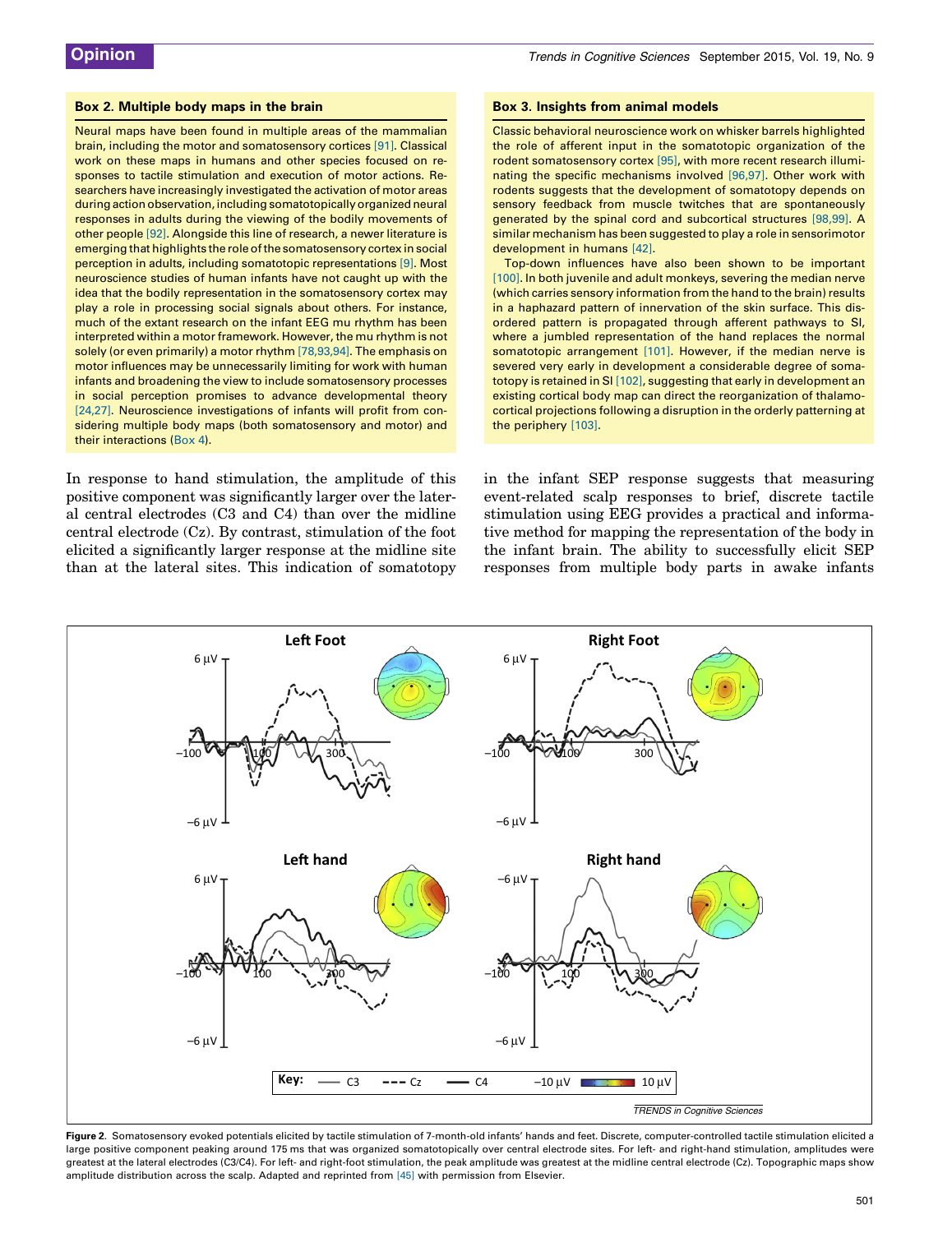### <span id="page-3-0"></span>Box 2. Multiple body maps in the brain

Neural maps have been found in multiple areas of the mammalian brain, including the motor and somatosensory cortices [\[91\].](#page-6-0) Classical work on these maps in humans and other species focused on responses to tactile stimulation and execution of motor actions. Researchers have increasingly investigated the activation of motor areas during action observation, including somatotopically organized neural responses in adults during the viewing of the bodily movements of other people [\[92\]](#page-6-0). Alongside this line of research, a newer literature is emerging that highlights the role ofthe somatosensory cortex in social perception in adults, including somatotopic representations [\[9\]](#page-5-0). Most neuroscience studies of human infants have not caught up with the idea that the bodily representation in the somatosensory cortex may play a role in processing social signals about others. For instance, much of the extant research on the infant EEG mu rhythm has been interpreted within a motor framework. However, the mu rhythm is not solely (or even primarily) a motor rhythm [\[78,93,94\].](#page-6-0) The emphasis on motor influences may be unnecessarily limiting for work with human infants and broadening the view to include somatosensory processes in social perception promises to advance developmental theory [\[24,27\]](#page-5-0). Neuroscience investigations of infants will profit from considering multiple body maps (both somatosensory and motor) and their interactions ([Box](#page-4-0) 4).

In response to hand stimulation, the amplitude of this positive component was significantly larger over the lateral central electrodes (C3 and C4) than over the midline central electrode (Cz). By contrast, stimulation of the foot elicited a significantly larger response at the midline site than at the lateral sites. This indication of somatotopy

### Box 3. Insights from animal models

Classic behavioral neuroscience work on whisker barrels highlighted the role of afferent input in the somatotopic organization of the rodent somatosensory cortex [\[95\]](#page-6-0), with more recent research illuminating the specific mechanisms involved [\[96,97\]](#page-6-0). Other work with rodents suggests that the development of somatotopy depends on sensory feedback from muscle twitches that are spontaneously generated by the spinal cord and subcortical structures [\[98,99\]](#page-6-0). A similar mechanism has been suggested to play a role in sensorimotor development in humans [\[42\].](#page-6-0)

Top-down influences have also been shown to be important [\[100\].](#page-7-0) In both juvenile and adult monkeys, severing the median nerve (which carries sensory information from the hand to the brain) results in a haphazard pattern of innervation of the skin surface. This disordered pattern is propagated through afferent pathways to SI, where a jumbled representation of the hand replaces the normal somatotopic arrangement [\[101\].](#page-7-0) However, if the median nerve is severed very early in development a considerable degree of somatotopy is retained in SI [\[102\],](#page-7-0) suggesting that early in development an existing cortical body map can direct the reorganization of thalamocortical projections following a disruption in the orderly patterning at the periphery [\[103\].](#page-7-0)

in the infant SEP response suggests that measuring event-related scalp responses to brief, discrete tactile stimulation using EEG provides a practical and informative method for mapping the representation of the body in the infant brain. The ability to successfully elicit SEP responses from multiple body parts in awake infants



Figure 2. Somatosensory evoked potentials elicited by tactile stimulation of 7-month-old infants' hands and feet. Discrete, computer-controlled tactile stimulation elicited a large positive component peaking around 175 ms that was organized somatotopically over central electrode sites. For left- and right-hand stimulation, amplitudes were greatest at the lateral electrodes (C3/C4). For left- and right-foot stimulation, the peak amplitude was greatest at the midline central electrode (Cz). Topographic maps show amplitude distribution across the scalp. Adapted and reprinted from [\[45\]](#page-6-0) with permission from Elsevier.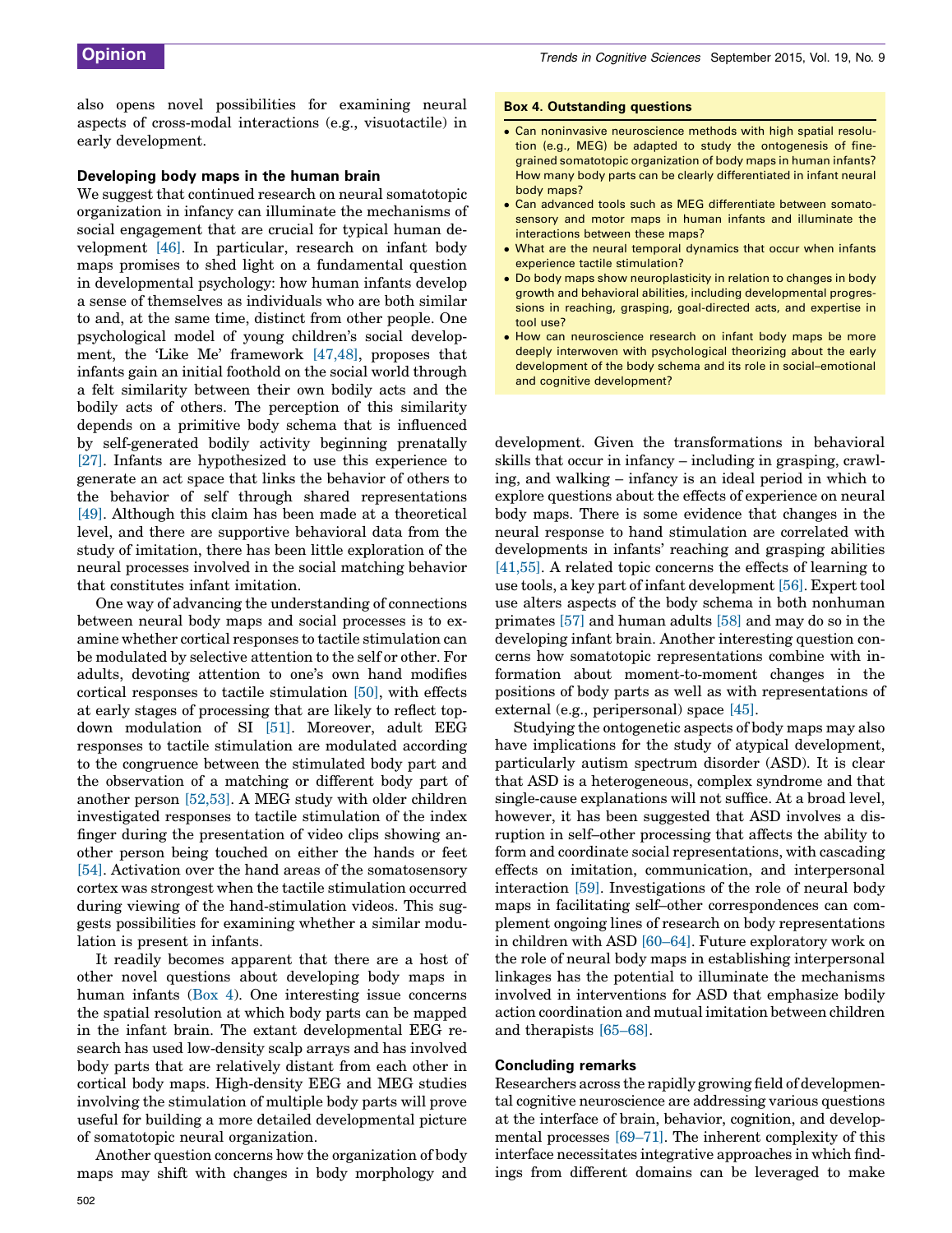<span id="page-4-0"></span>also opens novel possibilities for examining neural aspects of cross-modal interactions (e.g., visuotactile) in early development.

### Developing body maps in the human brain

We suggest that continued research on neural somatotopic organization in infancy can illuminate the mechanisms of social engagement that are crucial for typical human development [\[46\].](#page-6-0) In particular, research on infant body maps promises to shed light on a fundamental question in developmental psychology: how human infants develop a sense of themselves as individuals who are both similar to and, at the same time, distinct from other people. One psychological model of young children's social development, the 'Like Me' framework [\[47,48\],](#page-6-0) proposes that infants gain an initial foothold on the social world through a felt similarity between their own bodily acts and the bodily acts of others. The perception of this similarity depends on a primitive body schema that is influenced by self-generated bodily activity beginning prenatally [\[27\]](#page-5-0). Infants are hypothesized to use this experience to generate an act space that links the behavior of others to the behavior of self through shared representations [\[49\]](#page-6-0). Although this claim has been made at a theoretical level, and there are supportive behavioral data from the study of imitation, there has been little exploration of the neural processes involved in the social matching behavior that constitutes infant imitation.

One way of advancing the understanding of connections between neural body maps and social processes is to examine whether cortical responses to tactile stimulation can be modulated by selective attention to the self or other. For adults, devoting attention to one's own hand modifies cortical responses to tactile stimulation [\[50\],](#page-6-0) with effects at early stages of processing that are likely to reflect topdown modulation of SI [\[51\]](#page-6-0). Moreover, adult EEG responses to tactile stimulation are modulated according to the congruence between the stimulated body part and the observation of a matching or different body part of another person [\[52,53\]](#page-6-0). A MEG study with older children investigated responses to tactile stimulation of the index finger during the presentation of video clips showing another person being touched on either the hands or feet [\[54\]](#page-6-0). Activation over the hand areas of the somatosensory cortex was strongest when the tactile stimulation occurred during viewing of the hand-stimulation videos. This suggests possibilities for examining whether a similar modulation is present in infants.

It readily becomes apparent that there are a host of other novel questions about developing body maps in human infants (Box 4). One interesting issue concerns the spatial resolution at which body parts can be mapped in the infant brain. The extant developmental EEG research has used low-density scalp arrays and has involved body parts that are relatively distant from each other in cortical body maps. High-density EEG and MEG studies involving the stimulation of multiple body parts will prove useful for building a more detailed developmental picture of somatotopic neural organization.

Another question concerns how the organization of body maps may shift with changes in body morphology and

### Box 4. Outstanding questions

- . Can noninvasive neuroscience methods with high spatial resolution (e.g., MEG) be adapted to study the ontogenesis of finegrained somatotopic organization of body maps in human infants? How many body parts can be clearly differentiated in infant neural body maps?
- . Can advanced tools such as MEG differentiate between somatosensory and motor maps in human infants and illuminate the interactions between these maps?
- . What are the neural temporal dynamics that occur when infants experience tactile stimulation?
- . Do body maps show neuroplasticity in relation to changes in body growth and behavioral abilities, including developmental progressions in reaching, grasping, goal-directed acts, and expertise in tool use?
- . How can neuroscience research on infant body maps be more deeply interwoven with psychological theorizing about the early development of the body schema and its role in social–emotional and cognitive development?

development. Given the transformations in behavioral skills that occur in infancy – including in grasping, crawling, and walking – infancy is an ideal period in which to explore questions about the effects of experience on neural body maps. There is some evidence that changes in the neural response to hand stimulation are correlated with developments in infants' reaching and grasping abilities [\[41,55\]](#page-5-0). A related topic concerns the effects of learning to use tools, a key part of infant development [\[56\]](#page-6-0). Expert tool use alters aspects of the body schema in both nonhuman primates [\[57\]](#page-6-0) and human adults [\[58\]](#page-6-0) and may do so in the developing infant brain. Another interesting question concerns how somatotopic representations combine with information about moment-to-moment changes in the positions of body parts as well as with representations of external (e.g., peripersonal) space [\[45\].](#page-6-0)

Studying the ontogenetic aspects of body maps may also have implications for the study of atypical development, particularly autism spectrum disorder (ASD). It is clear that ASD is a heterogeneous, complex syndrome and that single-cause explanations will not suffice. At a broad level, however, it has been suggested that ASD involves a disruption in self–other processing that affects the ability to form and coordinate social representations, with cascading effects on imitation, communication, and interpersonal interaction [\[59\]](#page-6-0). Investigations of the role of neural body maps in facilitating self–other correspondences can complement ongoing lines of research on body representations in children with ASD [\[60–64\].](#page-6-0) Future exploratory work on the role of neural body maps in establishing interpersonal linkages has the potential to illuminate the mechanisms involved in interventions for ASD that emphasize bodily action coordination and mutual imitation between children and therapists [\[65–68\].](#page-6-0)

### Concluding remarks

Researchers across the rapidly growing field of developmental cognitive neuroscience are addressing various questions at the interface of brain, behavior, cognition, and developmental processes [\[69–71\]](#page-6-0). The inherent complexity of this interface necessitates integrative approaches in which findings from different domains can be leveraged to make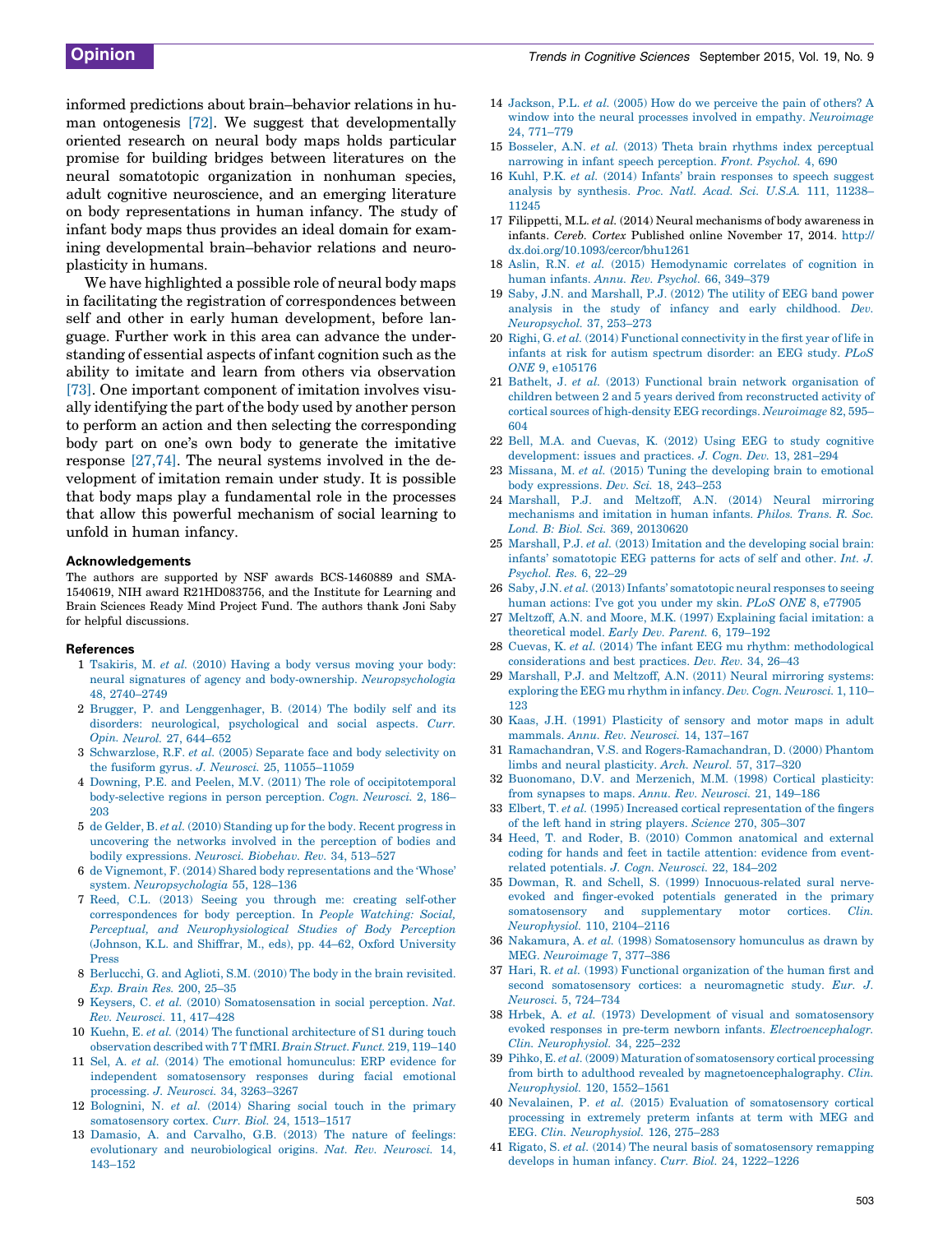<span id="page-5-0"></span>informed predictions about brain–behavior relations in human ontogenesis [\[72\]](#page-6-0). We suggest that developmentally oriented research on neural body maps holds particular promise for building bridges between literatures on the neural somatotopic organization in nonhuman species, adult cognitive neuroscience, and an emerging literature on body representations in human infancy. The study of infant body maps thus provides an ideal domain for examining developmental brain–behavior relations and neuroplasticity in humans.

We have highlighted a possible role of neural body maps in facilitating the registration of correspondences between self and other in early human development, before language. Further work in this area can advance the understanding of essential aspects of infant cognition such as the ability to imitate and learn from others via observation [\[73\]](#page-6-0). One important component of imitation involves visually identifying the part of the body used by another person to perform an action and then selecting the corresponding body part on one's own body to generate the imitative response [27,74]. The neural systems involved in the development of imitation remain under study. It is possible that body maps play a fundamental role in the processes that allow this powerful mechanism of social learning to unfold in human infancy.

### Acknowledgements

The authors are supported by NSF awards BCS-1460889 and SMA-1540619, NIH award R21HD083756, and the Institute for Learning and Brain Sciences Ready Mind Project Fund. The authors thank Joni Saby for helpful discussions.

### References

- 1 [Tsakiris,](http://refhub.elsevier.com/S1364-6613(15)00149-7/sbref0520) M. et al. (2010) Having a body versus moving your body: neural signatures of agency and body-ownership. [Neuropsychologia](http://refhub.elsevier.com/S1364-6613(15)00149-7/sbref0520) 48, [2740–2749](http://refhub.elsevier.com/S1364-6613(15)00149-7/sbref0520)
- 2 Brugger, P. and [Lenggenhager,](http://refhub.elsevier.com/S1364-6613(15)00149-7/sbref0525) B. (2014) The bodily self and its disorders: neurological, [psychological](http://refhub.elsevier.com/S1364-6613(15)00149-7/sbref0525) and social aspects. Curr. Opin. Neurol. 27, [644–652](http://refhub.elsevier.com/S1364-6613(15)00149-7/sbref0525)
- 3 [Schwarzlose,](http://refhub.elsevier.com/S1364-6613(15)00149-7/sbref0530) R.F. et al. (2005) Separate face and body selectivity on the fusiform gyrus. J. Neurosci. 25, [11055–11059](http://refhub.elsevier.com/S1364-6613(15)00149-7/sbref0530)
- 4 Downing, P.E. and Peelen, M.V. (2011) The role of [occipitotemporal](http://refhub.elsevier.com/S1364-6613(15)00149-7/sbref0535) [body-selective](http://refhub.elsevier.com/S1364-6613(15)00149-7/sbref0535) regions in person perception. Cogn. Neurosci. 2, 186– [203](http://refhub.elsevier.com/S1364-6613(15)00149-7/sbref0535)
- 5 de Gelder, B. et al. (2010) [Standing](http://refhub.elsevier.com/S1364-6613(15)00149-7/sbref0540) up for the body. Recent progress in [uncovering](http://refhub.elsevier.com/S1364-6613(15)00149-7/sbref0540) the networks involved in the perception of bodies and bodily [expressions.](http://refhub.elsevier.com/S1364-6613(15)00149-7/sbref0540) Neurosci. Biobehav. Rev. 34, 513–527
- 6 de Vignemont, F. (2014) Shared body [representations](http://refhub.elsevier.com/S1364-6613(15)00149-7/sbref0545) and the 'Whose' system. [Neuropsychologia](http://refhub.elsevier.com/S1364-6613(15)00149-7/sbref0545) 55, 128–136
- 7 Reed, C.L. (2013) Seeing you through me: creating [self-other](http://refhub.elsevier.com/S1364-6613(15)00149-7/sbref0550) [correspondences](http://refhub.elsevier.com/S1364-6613(15)00149-7/sbref0550) for body perception. In People Watching: Social, Perceptual, and [Neurophysiological](http://refhub.elsevier.com/S1364-6613(15)00149-7/sbref0550) Studies of Body Perception (Johnson, K.L. and Shiffrar, M., eds), pp. 44–62, Oxford [University](http://refhub.elsevier.com/S1364-6613(15)00149-7/sbref0550) [Press](http://refhub.elsevier.com/S1364-6613(15)00149-7/sbref0550)
- 8 [Berlucchi,](http://refhub.elsevier.com/S1364-6613(15)00149-7/sbref0555) G. and Aglioti, S.M. (2010) The body in the brain revisited. Exp. Brain Res. 200, [25–35](http://refhub.elsevier.com/S1364-6613(15)00149-7/sbref0555)
- 9 Keysers, C. et al. (2010) [Somatosensation](http://refhub.elsevier.com/S1364-6613(15)00149-7/sbref0560) in social perception. Nat. Rev. [Neurosci.](http://refhub.elsevier.com/S1364-6613(15)00149-7/sbref0560) 11, 417–428
- 10 Kuehn, E. et al. (2014) The functional [architecture](http://refhub.elsevier.com/S1364-6613(15)00149-7/sbref0565) of S1 during touch observation described with 7 T fMRI. Brain [Struct.Funct.](http://refhub.elsevier.com/S1364-6613(15)00149-7/sbref0565) 219, 119–140
- 11 Sel, A. et al. (2014) The emotional [homunculus:](http://refhub.elsevier.com/S1364-6613(15)00149-7/sbref0570) ERP evidence for independent [somatosensory](http://refhub.elsevier.com/S1364-6613(15)00149-7/sbref0570) responses during facial emotional [processing.](http://refhub.elsevier.com/S1364-6613(15)00149-7/sbref0570) J. Neurosci. 34, 3263–3267
- 12 [Bolognini,](http://refhub.elsevier.com/S1364-6613(15)00149-7/sbref0575) N. et al. (2014) Sharing social touch in the primary [somatosensory](http://refhub.elsevier.com/S1364-6613(15)00149-7/sbref0575) cortex. Curr. Biol. 24, 1513–1517
- 13 Damasio, A. and [Carvalho,](http://refhub.elsevier.com/S1364-6613(15)00149-7/sbref0580) G.B. (2013) The nature of feelings: evolutionary and [neurobiological](http://refhub.elsevier.com/S1364-6613(15)00149-7/sbref0580) origins. Nat. Rev. Neurosci. 14, [143–152](http://refhub.elsevier.com/S1364-6613(15)00149-7/sbref0580)
- 14 [Jackson,](http://refhub.elsevier.com/S1364-6613(15)00149-7/sbref0585) P.L. et al. (2005) How do we perceive the pain of others? A window into the neural processes involved in empathy. [Neuroimage](http://refhub.elsevier.com/S1364-6613(15)00149-7/sbref0585) 24, [771–779](http://refhub.elsevier.com/S1364-6613(15)00149-7/sbref0585)
- 15 Bosseler, A.N. et al. (2013) Theta brain rhythms index [perceptual](http://refhub.elsevier.com/S1364-6613(15)00149-7/sbref0590) narrowing in infant speech [perception.](http://refhub.elsevier.com/S1364-6613(15)00149-7/sbref0590) Front. Psychol. 4, 690.
- 16 Kuhl, P.K. et al. (2014) Infants' brain [responses](http://refhub.elsevier.com/S1364-6613(15)00149-7/sbref0595) to speech suggest analysis by [synthesis.](http://refhub.elsevier.com/S1364-6613(15)00149-7/sbref0595) Proc. Natl. Acad. Sci. U.S.A. 111, 11238– [11245](http://refhub.elsevier.com/S1364-6613(15)00149-7/sbref0595)
- 17 Filippetti, M.L. et al. (2014) Neural mechanisms of body awareness in infants. Cereb. Cortex Published online November 17, 2014. [http://](http://dx.doi.org/10.1093/cercor/bhu1261) [dx.doi.org/10.1093/cercor/bhu1261](http://dx.doi.org/10.1093/cercor/bhu1261)
- 18 Aslin, R.N. et al. (2015) [Hemodynamic](http://refhub.elsevier.com/S1364-6613(15)00149-7/sbref0605) correlates of cognition in human infants. Annu. Rev. Psychol. 66, [349–379](http://refhub.elsevier.com/S1364-6613(15)00149-7/sbref0605)
- 19 Saby, J.N. and [Marshall,](http://refhub.elsevier.com/S1364-6613(15)00149-7/sbref0610) P.J. (2012) The utility of EEG band power analysis in the study of infancy and early [childhood.](http://refhub.elsevier.com/S1364-6613(15)00149-7/sbref0610) Dev. [Neuropsychol.](http://refhub.elsevier.com/S1364-6613(15)00149-7/sbref0610) 37, 253–273
- 20 Righi, G. et al. (2014) Functional [connectivity](http://refhub.elsevier.com/S1364-6613(15)00149-7/sbref0615) in the first year of life in infants at risk for autism [spectrum](http://refhub.elsevier.com/S1364-6613(15)00149-7/sbref0615) disorder: an EEG study. PLoS ONE 9, [e105176](http://refhub.elsevier.com/S1364-6613(15)00149-7/sbref0615)
- 21 Bathelt, J. et al. (2013) Functional brain network [organisation](http://refhub.elsevier.com/S1364-6613(15)00149-7/sbref0620) of children between 2 and 5 years derived from [reconstructed](http://refhub.elsevier.com/S1364-6613(15)00149-7/sbref0620) activity of cortical sources of [high-density](http://refhub.elsevier.com/S1364-6613(15)00149-7/sbref0620) EEG recordings. Neuroimage 82, 595– [604](http://refhub.elsevier.com/S1364-6613(15)00149-7/sbref0620)
- 22 Bell, M.A. and Cuevas, K. (2012) Using EEG to study [cognitive](http://refhub.elsevier.com/S1364-6613(15)00149-7/sbref0625) [development:](http://refhub.elsevier.com/S1364-6613(15)00149-7/sbref0625) issues and practices. J. Cogn. Dev. 13, 281–294
- 23 Missana, M. et al. (2015) Tuning the [developing](http://refhub.elsevier.com/S1364-6613(15)00149-7/sbref0630) brain to emotional body [expressions.](http://refhub.elsevier.com/S1364-6613(15)00149-7/sbref0630) Dev. Sci. 18, 243–253
- 24 Marshall, P.J. and Meltzoff, A.N. (2014) Neural [mirroring](http://refhub.elsevier.com/S1364-6613(15)00149-7/sbref0635) [mechanisms](http://refhub.elsevier.com/S1364-6613(15)00149-7/sbref0635) and imitation in human infants. Philos. Trans. R. Soc. Lond. B: Biol. Sci. 369, [20130620](http://refhub.elsevier.com/S1364-6613(15)00149-7/sbref0635)
- 25 Marshall, P.J. et al. (2013) Imitation and the [developing](http://refhub.elsevier.com/S1364-6613(15)00149-7/sbref0640) social brain: infants' [somatotopic](http://refhub.elsevier.com/S1364-6613(15)00149-7/sbref0640) EEG patterns for acts of self and other. Int. J. [Psychol.](http://refhub.elsevier.com/S1364-6613(15)00149-7/sbref0640) Res. 6, 22–29
- 26 Saby, J.N. et al. (2013) Infants' [somatotopic](http://refhub.elsevier.com/S1364-6613(15)00149-7/sbref0645) neural responses to seeing human [actions:](http://refhub.elsevier.com/S1364-6613(15)00149-7/sbref0645) I've got you under my skin. PLoS ONE 8, e77905
- 27 Meltzoff, A.N. and Moore, M.K. (1997) [Explaining](http://refhub.elsevier.com/S1364-6613(15)00149-7/sbref0650) facial imitation: a [theoretical](http://refhub.elsevier.com/S1364-6613(15)00149-7/sbref0650) model. Early Dev. Parent. 6, 179–192
- 28 Cuevas, K. et al. (2014) The infant EEG mu rhythm: [methodological](http://refhub.elsevier.com/S1364-6613(15)00149-7/sbref0655) [considerations](http://refhub.elsevier.com/S1364-6613(15)00149-7/sbref0655) and best practices. Dev. Rev. 34, 26–43
- 29 Marshall, P.J. and Meltzoff, A.N. (2011) Neural [mirroring](http://refhub.elsevier.com/S1364-6613(15)00149-7/sbref0660) systems: [exploring](http://refhub.elsevier.com/S1364-6613(15)00149-7/sbref0660) the EEG mu rhythm in infancy. Dev. Cogn. Neurosci. 1, 110– [123](http://refhub.elsevier.com/S1364-6613(15)00149-7/sbref0660)
- 30 Kaas, J.H. (1991) [Plasticity](http://refhub.elsevier.com/S1364-6613(15)00149-7/sbref0665) of sensory and motor maps in adult [mammals.](http://refhub.elsevier.com/S1364-6613(15)00149-7/sbref0665) Annu. Rev. Neurosci. 14, 137–167
- 31 Ramachandran, V.S. and [Rogers-Ramachandran,](http://refhub.elsevier.com/S1364-6613(15)00149-7/sbref0670) D. (2000) Phantom limbs and neural [plasticity.](http://refhub.elsevier.com/S1364-6613(15)00149-7/sbref0670) Arch. Neurol. 57, 317–320
- 32 [Buonomano,](http://refhub.elsevier.com/S1364-6613(15)00149-7/sbref0675) D.V. and Merzenich, M.M. (1998) Cortical plasticity: from synapses to maps. Annu. Rev. [Neurosci.](http://refhub.elsevier.com/S1364-6613(15)00149-7/sbref0675) 21, 149–186
- 33 Elbert, T. et al. (1995) Increased cortical [representation](http://refhub.elsevier.com/S1364-6613(15)00149-7/sbref0680) of the fingers of the left hand in string players. Science 270, [305–307](http://refhub.elsevier.com/S1364-6613(15)00149-7/sbref0680)
- 34 Heed, T. and Roder, B. (2010) Common [anatomical](http://refhub.elsevier.com/S1364-6613(15)00149-7/sbref0685) and external coding for hands and feet in tactile [attention:](http://refhub.elsevier.com/S1364-6613(15)00149-7/sbref0685) evidence from eventrelated [potentials.](http://refhub.elsevier.com/S1364-6613(15)00149-7/sbref0685) J. Cogn. Neurosci. 22, 184–202
- 35 Dowman, R. and Schell, S. (1999) [Innocuous-related](http://refhub.elsevier.com/S1364-6613(15)00149-7/sbref0690) sural nerveevoked and [finger-evoked](http://refhub.elsevier.com/S1364-6613(15)00149-7/sbref0690) potentials generated in the primary somatosensory and [supplementary](http://refhub.elsevier.com/S1364-6613(15)00149-7/sbref0690) motor cortices. Clin. [Neurophysiol.](http://refhub.elsevier.com/S1364-6613(15)00149-7/sbref0690) 110, 2104–2116
- 36 Nakamura, A. et al. (1998) [Somatosensory](http://refhub.elsevier.com/S1364-6613(15)00149-7/sbref0695) homunculus as drawn by MEG. [Neuroimage](http://refhub.elsevier.com/S1364-6613(15)00149-7/sbref0695) 7, 377–386
- 37 Hari, R. et al. (1993) Functional [organization](http://refhub.elsevier.com/S1364-6613(15)00149-7/sbref0700) of the human first and second somatosensory cortices: a [neuromagnetic](http://refhub.elsevier.com/S1364-6613(15)00149-7/sbref0700) study. Eur. J. [Neurosci.](http://refhub.elsevier.com/S1364-6613(15)00149-7/sbref0700) 5, 724–734
- 38 Hrbek, A. et al. (1973) Development of visual and [somatosensory](http://refhub.elsevier.com/S1364-6613(15)00149-7/sbref0705) evoked responses in pre-term newborn infants. [Electroencephalogr.](http://refhub.elsevier.com/S1364-6613(15)00149-7/sbref0705) Clin. [Neurophysiol.](http://refhub.elsevier.com/S1364-6613(15)00149-7/sbref0705) 34, 225–232
- 39 Pihko, E. et al. (2009) Maturation of [somatosensory](http://refhub.elsevier.com/S1364-6613(15)00149-7/sbref0710) cortical processing from birth to adulthood revealed by [magnetoencephalography.](http://refhub.elsevier.com/S1364-6613(15)00149-7/sbref0710) Clin. [Neurophysiol.](http://refhub.elsevier.com/S1364-6613(15)00149-7/sbref0710) 120, 1552–1561
- 40 Nevalainen, P. et al. (2015) Evaluation of [somatosensory](http://refhub.elsevier.com/S1364-6613(15)00149-7/sbref0715) cortical [processing](http://refhub.elsevier.com/S1364-6613(15)00149-7/sbref0715) in extremely preterm infants at term with MEG and EEG. Clin. [Neurophysiol.](http://refhub.elsevier.com/S1364-6613(15)00149-7/sbref0715) 126, 275–283
- 41 Rigato, S. et al. (2014) The neural basis of [somatosensory](http://refhub.elsevier.com/S1364-6613(15)00149-7/sbref0720) remapping develops in human infancy. Curr. Biol. 24, [1222–1226](http://refhub.elsevier.com/S1364-6613(15)00149-7/sbref0720)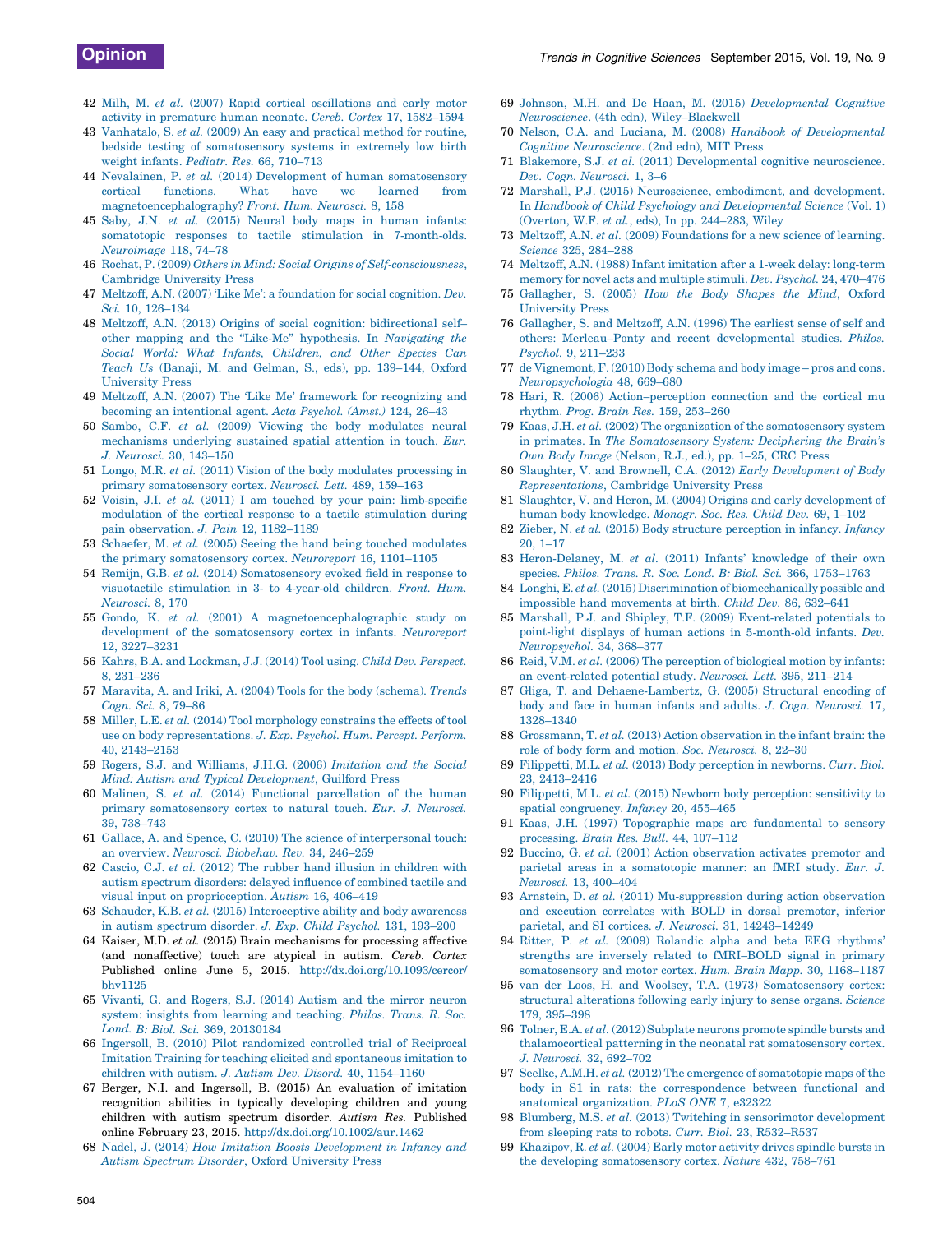- <span id="page-6-0"></span>42 Milh, M. et al. (2007) Rapid cortical [oscillations](http://refhub.elsevier.com/S1364-6613(15)00149-7/sbref0725) and early motor activity in premature human neonate. Cereb. Cortex 17, [1582–1594](http://refhub.elsevier.com/S1364-6613(15)00149-7/sbref0725)
- 43 [Vanhatalo,](http://refhub.elsevier.com/S1364-6613(15)00149-7/sbref0730) S. et al. (2009) An easy and practical method for routine, bedside testing of [somatosensory](http://refhub.elsevier.com/S1364-6613(15)00149-7/sbref0730) systems in extremely low birth weight infants. Pediatr. Res. 66, [710–713](http://refhub.elsevier.com/S1364-6613(15)00149-7/sbref0730)
- 44 Nevalainen, P. et al. (2014) Development of human [somatosensory](http://refhub.elsevier.com/S1364-6613(15)00149-7/sbref0735) cortical [functions.](http://refhub.elsevier.com/S1364-6613(15)00149-7/sbref0735) What have we learned from [magnetoencephalography?](http://refhub.elsevier.com/S1364-6613(15)00149-7/sbref0735) Front. Hum. Neurosci. 8, 158
- 45 Saby, J.N. et al. (2015) Neural body maps in human [infants:](http://refhub.elsevier.com/S1364-6613(15)00149-7/sbref0740) somatotopic responses to tactile stimulation in [7-month-olds.](http://refhub.elsevier.com/S1364-6613(15)00149-7/sbref0740) [Neuroimage](http://refhub.elsevier.com/S1364-6613(15)00149-7/sbref0740) 118, 74–78
- 46 Rochat, P. (2009) Others in Mind: Social Origins of [Self-consciousness](http://refhub.elsevier.com/S1364-6613(15)00149-7/sbref0745), [Cambridge](http://refhub.elsevier.com/S1364-6613(15)00149-7/sbref0745) University Press
- 47 Meltzoff, A.N. (2007) 'Like Me': a [foundation](http://refhub.elsevier.com/S1364-6613(15)00149-7/sbref0750) for social cognition. Dev. Sci. 10, [126–134](http://refhub.elsevier.com/S1364-6613(15)00149-7/sbref0750)
- 48 Meltzoff, A.N. (2013) Origins of social cognition: [bidirectional](http://refhub.elsevier.com/S1364-6613(15)00149-7/sbref0755) self– other mapping and the "Like-Me" [hypothesis.](http://refhub.elsevier.com/S1364-6613(15)00149-7/sbref0755) In Navigating the Social World: What Infants, [Children,](http://refhub.elsevier.com/S1364-6613(15)00149-7/sbref0755) and Other Species Can Teach Us (Banaji, M. and Gelman, S., eds), pp. [139–144,](http://refhub.elsevier.com/S1364-6613(15)00149-7/sbref0755) Oxford [University](http://refhub.elsevier.com/S1364-6613(15)00149-7/sbref0755) Press
- 49 Meltzoff, A.N. (2007) The 'Like Me' framework for [recognizing](http://refhub.elsevier.com/S1364-6613(15)00149-7/sbref0760) and becoming an [intentional](http://refhub.elsevier.com/S1364-6613(15)00149-7/sbref0760) agent. Acta Psychol. (Amst.) 124, 26–43
- 50 Sambo, C.F. et al. (2009) Viewing the body [modulates](http://refhub.elsevier.com/S1364-6613(15)00149-7/sbref0765) neural [mechanisms](http://refhub.elsevier.com/S1364-6613(15)00149-7/sbref0765) underlying sustained spatial attention in touch. Eur. J. [Neurosci.](http://refhub.elsevier.com/S1364-6613(15)00149-7/sbref0765) 30, 143–150
- 51 Longo, M.R. et al. (2011) Vision of the body modulates [processing](http://refhub.elsevier.com/S1364-6613(15)00149-7/sbref0770) in primary [somatosensory](http://refhub.elsevier.com/S1364-6613(15)00149-7/sbref0770) cortex. Neurosci. Lett. 489, 159–163
- 52 Voisin, J.I. et al. (2011) I am touched by your pain: [limb-specific](http://refhub.elsevier.com/S1364-6613(15)00149-7/sbref0775) modulation of the cortical response to a tactile [stimulation](http://refhub.elsevier.com/S1364-6613(15)00149-7/sbref0775) during pain [observation.](http://refhub.elsevier.com/S1364-6613(15)00149-7/sbref0775) J. Pain 12, 1182–1189
- 53 Schaefer, M. et al. (2005) Seeing the hand being touched [modulates](http://refhub.elsevier.com/S1364-6613(15)00149-7/sbref0780) the primary [somatosensory](http://refhub.elsevier.com/S1364-6613(15)00149-7/sbref0780) cortex. Neuroreport 16, 1101–1105
- 54 Remijn, G.B. et al. (2014) [Somatosensory](http://refhub.elsevier.com/S1364-6613(15)00149-7/sbref0785) evoked field in response to visuotactile [stimulation](http://refhub.elsevier.com/S1364-6613(15)00149-7/sbref0785) in 3- to 4-year-old children. Front. Hum. [Neurosci.](http://refhub.elsevier.com/S1364-6613(15)00149-7/sbref0785) 8, 170
- 55 Gondo, K. et al. (2001) A [magnetoencephalographic](http://refhub.elsevier.com/S1364-6613(15)00149-7/sbref0790) study on development of the [somatosensory](http://refhub.elsevier.com/S1364-6613(15)00149-7/sbref0790) cortex in infants. Neuroreport 12, [3227–3231](http://refhub.elsevier.com/S1364-6613(15)00149-7/sbref0790)
- 56 Kahrs, B.A. and [Lockman,](http://refhub.elsevier.com/S1364-6613(15)00149-7/sbref0795) J.J. (2014) Tool using. Child Dev. Perspect. 8, [231–236](http://refhub.elsevier.com/S1364-6613(15)00149-7/sbref0795)
- 57 [Maravita,](http://refhub.elsevier.com/S1364-6613(15)00149-7/sbref0800) A. and Iriki, A. (2004) Tools for the body (schema). Trends Cogn. Sci. 8, [79–86](http://refhub.elsevier.com/S1364-6613(15)00149-7/sbref0800)
- 58 Miller, L.E. et al. (2014) Tool [morphology](http://refhub.elsevier.com/S1364-6613(15)00149-7/sbref0805) constrains the effects of tool use on body [representations.](http://refhub.elsevier.com/S1364-6613(15)00149-7/sbref0805) J. Exp. Psychol. Hum. Percept. Perform. 40, [2143–2153](http://refhub.elsevier.com/S1364-6613(15)00149-7/sbref0805)
- 59 Rogers, S.J. and [Williams,](http://refhub.elsevier.com/S1364-6613(15)00149-7/sbref0810) J.H.G. (2006) Imitation and the Social Mind: Autism and Typical [Development](http://refhub.elsevier.com/S1364-6613(15)00149-7/sbref0810), Guilford Press
- 60 Malinen, S. et al. (2014) Functional [parcellation](http://refhub.elsevier.com/S1364-6613(15)00149-7/sbref0815) of the human primary [somatosensory](http://refhub.elsevier.com/S1364-6613(15)00149-7/sbref0815) cortex to natural touch. Eur. J. Neurosci. 39, [738–743](http://refhub.elsevier.com/S1364-6613(15)00149-7/sbref0815)
- 61 Gallace, A. and Spence, C. (2010) The science of [interpersonal](http://refhub.elsevier.com/S1364-6613(15)00149-7/sbref0820) touch: an overview. Neurosci. [Biobehav.](http://refhub.elsevier.com/S1364-6613(15)00149-7/sbref0820) Rev. 34, 246–259
- 62 Cascio, C.J. et al. (2012) The rubber hand illusion in [children](http://refhub.elsevier.com/S1364-6613(15)00149-7/sbref0825) with autism spectrum [disorders:](http://refhub.elsevier.com/S1364-6613(15)00149-7/sbref0825) delayed influence of combined tactile and visual input on [proprioception.](http://refhub.elsevier.com/S1364-6613(15)00149-7/sbref0825) Autism 16, 406–419
- 63 Schauder, K.B. et al. (2015) [Interoceptive](http://refhub.elsevier.com/S1364-6613(15)00149-7/sbref0830) ability and body awareness in autism [spectrum](http://refhub.elsevier.com/S1364-6613(15)00149-7/sbref0830) disorder. J. Exp. Child Psychol. 131, 193–200
- 64 Kaiser, M.D. et al. (2015) Brain mechanisms for processing affective (and nonaffective) touch are atypical in autism. Cereb. Cortex Published online June 5, 2015. [http://dx.doi.org/10.1093/cercor/](http://dx.doi.org/10.1093/cercor/bhv1125) [bhv1125](http://dx.doi.org/10.1093/cercor/bhv1125)
- 65 [Vivanti,](http://refhub.elsevier.com/S1364-6613(15)00149-7/sbref0840) G. and Rogers, S.J. (2014) Autism and the mirror neuron system: insights from learning and [teaching.](http://refhub.elsevier.com/S1364-6613(15)00149-7/sbref0840) Philos. Trans. R. Soc. Lond. B: Biol. Sci. 369, [20130184](http://refhub.elsevier.com/S1364-6613(15)00149-7/sbref0840)
- 66 Ingersoll, B. (2010) Pilot [randomized](http://refhub.elsevier.com/S1364-6613(15)00149-7/sbref0845) controlled trial of Reciprocal Imitation Training for teaching elicited and [spontaneous](http://refhub.elsevier.com/S1364-6613(15)00149-7/sbref0845) imitation to children with autism. J. Autism Dev. Disord. 40, [1154–1160](http://refhub.elsevier.com/S1364-6613(15)00149-7/sbref0845)
- 67 Berger, N.I. and Ingersoll, B. (2015) An evaluation of imitation recognition abilities in typically developing children and young children with autism spectrum disorder. Autism Res. Published online February 23, 2015. <http://dx.doi.org/10.1002/aur.1462>
- 68 Nadel, J. (2014) How Imitation Boosts [Development](http://refhub.elsevier.com/S1364-6613(15)00149-7/sbref0855) in Infancy and Autism Spectrum Disorder, Oxford [University](http://refhub.elsevier.com/S1364-6613(15)00149-7/sbref0855) Press
- 69 Johnson, M.H. and De Haan, M. (2015) [Developmental](http://refhub.elsevier.com/S1364-6613(15)00149-7/sbref0860) Cognitive Neuroscience. (4th edn), [Wiley–Blackwell](http://refhub.elsevier.com/S1364-6613(15)00149-7/sbref0860)
- 70 Nelson, C.A. and Luciana, M. (2008) Handbook of [Developmental](http://refhub.elsevier.com/S1364-6613(15)00149-7/sbref0865) Cognitive [Neuroscience](http://refhub.elsevier.com/S1364-6613(15)00149-7/sbref0865). (2nd edn), MIT Press
- 71 Blakemore, S.J. et al. (2011) [Developmental](http://refhub.elsevier.com/S1364-6613(15)00149-7/sbref0870) cognitive neuroscience. Dev. Cogn. [Neurosci.](http://refhub.elsevier.com/S1364-6613(15)00149-7/sbref0870) 1, 3–6
- 72 Marshall, P.J. (2015) [Neuroscience,](http://refhub.elsevier.com/S1364-6613(15)00149-7/sbref0875) embodiment, and development. In Handbook of Child Psychology and [Developmental](http://refhub.elsevier.com/S1364-6613(15)00149-7/sbref0875) Science (Vol. 1) [\(Overton,](http://refhub.elsevier.com/S1364-6613(15)00149-7/sbref0875) W.F. et al., eds), In pp. 244–283, Wiley
- 73 Meltzoff, A.N. et al. (2009) [Foundations](http://refhub.elsevier.com/S1364-6613(15)00149-7/sbref0880) for a new science of learning. Science 325, [284–288](http://refhub.elsevier.com/S1364-6613(15)00149-7/sbref0880)
- 74 Meltzoff, A.N. (1988) Infant imitation after a 1-week delay: [long-term](http://refhub.elsevier.com/S1364-6613(15)00149-7/sbref0885) memory for novel acts and [multiple](http://refhub.elsevier.com/S1364-6613(15)00149-7/sbref0885) stimuli. Dev. Psychol. 24, 470–476
- 75 [Gallagher,](http://refhub.elsevier.com/S1364-6613(15)00149-7/sbref0890) S. (2005) How the Body Shapes the Mind, Oxford [University](http://refhub.elsevier.com/S1364-6613(15)00149-7/sbref0890) Press
- 76 [Gallagher,](http://refhub.elsevier.com/S1364-6613(15)00149-7/sbref0895) S. and Meltzoff, A.N. (1996) The earliest sense of self and others: [Merleau–Ponty](http://refhub.elsevier.com/S1364-6613(15)00149-7/sbref0895) and recent developmental studies. Philos. Psychol. 9, [211–233](http://refhub.elsevier.com/S1364-6613(15)00149-7/sbref0895)
- 77 de [Vignemont,](http://refhub.elsevier.com/S1364-6613(15)00149-7/sbref0900) F. (2010) Body schema and body image pros and cons. [Neuropsychologia](http://refhub.elsevier.com/S1364-6613(15)00149-7/sbref0900) 48, 669–680
- 78 Hari, R. (2006) [Action–perception](http://refhub.elsevier.com/S1364-6613(15)00149-7/sbref0905) connection and the cortical mu rhythm. Prog. Brain Res. 159, [253–260](http://refhub.elsevier.com/S1364-6613(15)00149-7/sbref0905)
- 79 Kaas, J.H. et al. (2002) The organization of the [somatosensory](http://refhub.elsevier.com/S1364-6613(15)00149-7/sbref0910) system in primates. In The [Somatosensory](http://refhub.elsevier.com/S1364-6613(15)00149-7/sbref0910) System: Deciphering the Brain's Own Body Image [\(Nelson,](http://refhub.elsevier.com/S1364-6613(15)00149-7/sbref0910) R.J., ed.), pp. 1–25, CRC Press
- 80 Slaughter, V. and Brownell, C.A. (2012) Early [Development](http://refhub.elsevier.com/S1364-6613(15)00149-7/sbref0915) of Body [Representations](http://refhub.elsevier.com/S1364-6613(15)00149-7/sbref0915), Cambridge University Press
- 81 Slaughter, V. and Heron, M. (2004) Origins and early [development](http://refhub.elsevier.com/S1364-6613(15)00149-7/sbref0920) of human body [knowledge.](http://refhub.elsevier.com/S1364-6613(15)00149-7/sbref0920) Monogr. Soc. Res. Child Dev. 69, 1–102
- 82 Zieber, N. et al. (2015) Body structure [perception](http://refhub.elsevier.com/S1364-6613(15)00149-7/sbref0925) in infancy. Infancy 20, [1–17](http://refhub.elsevier.com/S1364-6613(15)00149-7/sbref0925)
- 83 [Heron-Delaney,](http://refhub.elsevier.com/S1364-6613(15)00149-7/sbref0930) M. et al. (2011) Infants' knowledge of their own species. Philos. Trans. R. Soc. Lond. B: Biol. Sci. 366, [1753–1763](http://refhub.elsevier.com/S1364-6613(15)00149-7/sbref0930)
- 84 Longhi, E. et al. (2015) Discrimination of [biomechanically](http://refhub.elsevier.com/S1364-6613(15)00149-7/sbref0935) possible and impossible hand [movements](http://refhub.elsevier.com/S1364-6613(15)00149-7/sbref0935) at birth. Child Dev. 86, 632–641
- 85 Marshall, P.J. and Shipley, T.F. (2009) [Event-related](http://refhub.elsevier.com/S1364-6613(15)00149-7/sbref0940) potentials to point-light displays of human actions in [5-month-old](http://refhub.elsevier.com/S1364-6613(15)00149-7/sbref0940) infants. Dev. [Neuropsychol.](http://refhub.elsevier.com/S1364-6613(15)00149-7/sbref0940) 34, 368–377
- 86 Reid, V.M. et al. (2006) The [perception](http://refhub.elsevier.com/S1364-6613(15)00149-7/sbref0945) of biological motion by infants: an [event-related](http://refhub.elsevier.com/S1364-6613(15)00149-7/sbref0945) potential study. Neurosci. Lett. 395, 211–214
- 87 Gliga, T. and [Dehaene-Lambertz,](http://refhub.elsevier.com/S1364-6613(15)00149-7/sbref0950) G. (2005) Structural encoding of body and face in human infants and adults. J. Cogn. [Neurosci.](http://refhub.elsevier.com/S1364-6613(15)00149-7/sbref0950) 17, [1328–1340](http://refhub.elsevier.com/S1364-6613(15)00149-7/sbref0950)
- 88 [Grossmann,](http://refhub.elsevier.com/S1364-6613(15)00149-7/sbref0955) T. et al. (2013) Action observation in the infant brain: the role of body form and motion. Soc. [Neurosci.](http://refhub.elsevier.com/S1364-6613(15)00149-7/sbref0955) 8, 22–30
- 89 Filippetti, M.L. et al. (2013) Body [perception](http://refhub.elsevier.com/S1364-6613(15)00149-7/sbref0960) in newborns. Curr. Biol. 23, [2413–2416](http://refhub.elsevier.com/S1364-6613(15)00149-7/sbref0960)
- 90 Filippetti, M.L. et al. (2015) Newborn body [perception:](http://refhub.elsevier.com/S1364-6613(15)00149-7/sbref0965) sensitivity to spatial [congruency.](http://refhub.elsevier.com/S1364-6613(15)00149-7/sbref0965) Infancy 20, 455–465
- 91 Kaas, J.H. (1997) Topographic maps are [fundamental](http://refhub.elsevier.com/S1364-6613(15)00149-7/sbref0970) to sensory [processing.](http://refhub.elsevier.com/S1364-6613(15)00149-7/sbref0970) Brain Res. Bull. 44, 107–112
- 92 Buccino, G. et al. (2001) Action [observation](http://refhub.elsevier.com/S1364-6613(15)00149-7/sbref0975) activates premotor and parietal areas in a [somatotopic](http://refhub.elsevier.com/S1364-6613(15)00149-7/sbref0975) manner: an fMRI study. Eur. J. [Neurosci.](http://refhub.elsevier.com/S1364-6613(15)00149-7/sbref0975) 13, 400–404
- 93 Arnstein, D. et al. (2011) [Mu-suppression](http://refhub.elsevier.com/S1364-6613(15)00149-7/sbref0980) during action observation and execution [correlates](http://refhub.elsevier.com/S1364-6613(15)00149-7/sbref0980) with BOLD in dorsal premotor, inferior parietal, and SI cortices. J. Neurosci. 31, [14243–14249](http://refhub.elsevier.com/S1364-6613(15)00149-7/sbref0980)
- 94 Ritter, P. et al. (2009) Rolandic alpha and beta EEG [rhythms'](http://refhub.elsevier.com/S1364-6613(15)00149-7/sbref0985) strengths are inversely related to [fMRI–BOLD](http://refhub.elsevier.com/S1364-6613(15)00149-7/sbref0985) signal in primary [somatosensory](http://refhub.elsevier.com/S1364-6613(15)00149-7/sbref0985) and motor cortex. Hum. Brain Mapp. 30, 1168–1187
- 95 van der Loos, H. and Woolsey, T.A. (1973) [Somatosensory](http://refhub.elsevier.com/S1364-6613(15)00149-7/sbref0990) cortex: structural [alterations](http://refhub.elsevier.com/S1364-6613(15)00149-7/sbref0990) following early injury to sense organs. Science 179, [395–398](http://refhub.elsevier.com/S1364-6613(15)00149-7/sbref0990)
- 96 Tolner, E.A. et al. (2012) [Subplate](http://refhub.elsevier.com/S1364-6613(15)00149-7/sbref0995) neurons promote spindle bursts and [thalamocortical](http://refhub.elsevier.com/S1364-6613(15)00149-7/sbref0995) patterning in the neonatal rat somatosensory cortex. J. [Neurosci.](http://refhub.elsevier.com/S1364-6613(15)00149-7/sbref0995) 32, 692–702
- 97 Seelke, A.M.H. et al. (2012) The emergence of [somatotopic](http://refhub.elsevier.com/S1364-6613(15)00149-7/sbref1000) maps of the body in S1 in rats: the [correspondence](http://refhub.elsevier.com/S1364-6613(15)00149-7/sbref1000) between functional and anatomical [organization.](http://refhub.elsevier.com/S1364-6613(15)00149-7/sbref1000) PLoS ONE 7, e32322
- 98 Blumberg, M.S. et al. (2013) Twitching in [sensorimotor](http://refhub.elsevier.com/S1364-6613(15)00149-7/sbref1005) development from sleeping rats to robots. Curr. Biol. 23, [R532–R537](http://refhub.elsevier.com/S1364-6613(15)00149-7/sbref1005)
- 99 [Khazipov,](http://refhub.elsevier.com/S1364-6613(15)00149-7/sbref1010) R. et al. (2004) Early motor activity drives spindle bursts in the developing [somatosensory](http://refhub.elsevier.com/S1364-6613(15)00149-7/sbref1010) cortex. Nature 432, 758–761